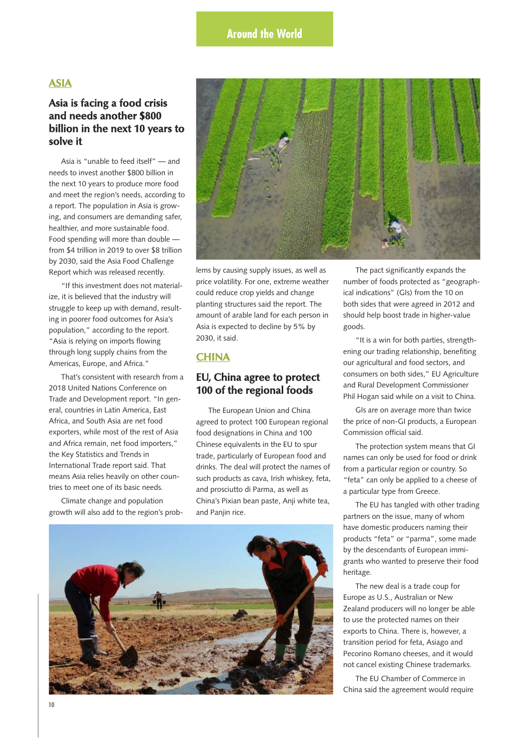# **ASIA**

# **Asia is facing a food crisis and needs another \$800 billion in the next 10 years to solve it**

Asia is "unable to feed itself" — and needs to invest another \$800 billion in the next 10 years to produce more food and meet the region's needs, according to a report. The population in Asia is growing, and consumers are demanding safer, healthier, and more sustainable food. Food spending will more than double from \$4 trillion in 2019 to over \$8 trillion by 2030, said the Asia Food Challenge Report which was released recently.

"If this investment does not materialize, it is believed that the industry will struggle to keep up with demand, resulting in poorer food outcomes for Asia's population," according to the report. "Asia is relying on imports flowing through long supply chains from the Americas, Europe, and Africa."

That's consistent with research from a 2018 United Nations Conference on Trade and Development report. "In general, countries in Latin America, East Africa, and South Asia are net food exporters, while most of the rest of Asia and Africa remain, net food importers," the Key Statistics and Trends in International Trade report said. That means Asia relies heavily on other countries to meet one of its basic needs.

Climate change and population growth will also add to the region's prob-



lems by causing supply issues, as well as price volatility. For one, extreme weather could reduce crop yields and change planting structures said the report. The amount of arable land for each person in Asia is expected to decline by 5% by 2030, it said.

# **CHINA**

### **EU, China agree to protect 100 of the regional foods**

The European Union and China agreed to protect 100 European regional food designations in China and 100 Chinese equivalents in the EU to spur trade, particularly of European food and drinks. The deal will protect the names of such products as cava, Irish whiskey, feta, and prosciutto di Parma, as well as China's Pixian bean paste, Anji white tea, and Panjin rice.



The pact significantly expands the number of foods protected as "geographical indications" (GIs) from the 10 on both sides that were agreed in 2012 and should help boost trade in higher-value goods.

"It is a win for both parties, strengthening our trading relationship, benefiting our agricultural and food sectors, and consumers on both sides," EU Agriculture and Rural Development Commissioner Phil Hogan said while on a visit to China.

GIs are on average more than twice the price of non-GI products, a European Commission official said.

The protection system means that GI names can only be used for food or drink from a particular region or country. So "feta" can only be applied to a cheese of a particular type from Greece.

The EU has tangled with other trading partners on the issue, many of whom have domestic producers naming their products "feta" or "parma", some made by the descendants of European immigrants who wanted to preserve their food heritage.

The new deal is a trade coup for Europe as U.S., Australian or New Zealand producers will no longer be able to use the protected names on their exports to China. There is, however, a transition period for feta, Asiago and Pecorino Romano cheeses, and it would not cancel existing Chinese trademarks.

The EU Chamber of Commerce in China said the agreement would require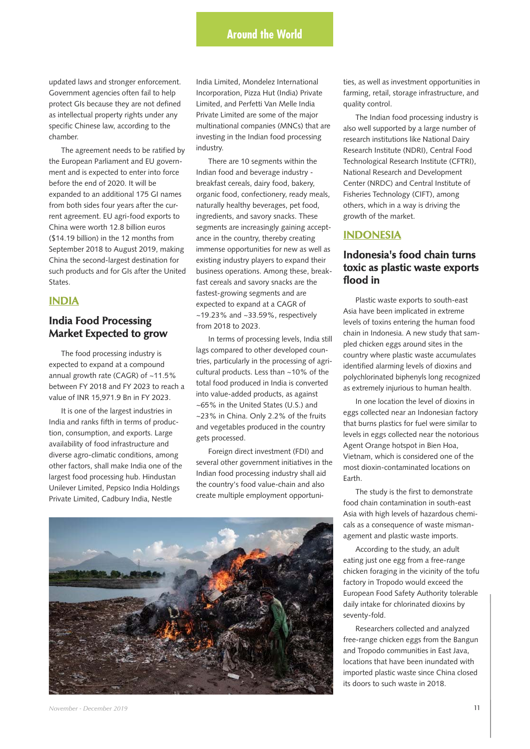# **Around the World**

updated laws and stronger enforcement. Government agencies often fail to help protect GIs because they are not defined as intellectual property rights under any specific Chinese law, according to the chamber.

The agreement needs to be ratified by the European Parliament and EU government and is expected to enter into force before the end of 2020. It will be expanded to an additional 175 GI names from both sides four years after the current agreement. EU agri-food exports to China were worth 12.8 billion euros (\$14.19 billion) in the 12 months from September 2018 to August 2019, making China the second-largest destination for such products and for GIs after the United States.

### **INDIA**

# **India Food Processing Market Expected to grow**

The food processing industry is expected to expand at a compound annual growth rate (CAGR) of ~11.5% between FY 2018 and FY 2023 to reach a value of INR 15,971.9 Bn in FY 2023.

It is one of the largest industries in India and ranks fifth in terms of production, consumption, and exports. Large availability of food infrastructure and diverse agro-climatic conditions, among other factors, shall make India one of the largest food processing hub. Hindustan Unilever Limited, Pepsico India Holdings Private Limited, Cadbury India, Nestle

India Limited, Mondelez International Incorporation, Pizza Hut (India) Private Limited, and Perfetti Van Melle India Private Limited are some of the major multinational companies (MNCs) that are investing in the Indian food processing industry.

There are 10 segments within the Indian food and beverage industry breakfast cereals, dairy food, bakery, organic food, confectionery, ready meals, naturally healthy beverages, pet food, ingredients, and savory snacks. These segments are increasingly gaining acceptance in the country, thereby creating immense opportunities for new as well as existing industry players to expand their business operations. Among these, breakfast cereals and savory snacks are the fastest-growing segments and are expected to expand at a CAGR of ~19.23% and ~33.59%, respectively from 2018 to 2023.

In terms of processing levels, India still lags compared to other developed countries, particularly in the processing of agricultural products. Less than ~10% of the total food produced in India is converted into value-added products, as against ~65% in the United States (U.S.) and ~23% in China. Only 2.2% of the fruits and vegetables produced in the country gets processed.

Foreign direct investment (FDI) and several other government initiatives in the Indian food processing industry shall aid the country's food value-chain and also create multiple employment opportuni-



ties, as well as investment opportunities in farming, retail, storage infrastructure, and quality control.

The Indian food processing industry is also well supported by a large number of research institutions like National Dairy Research Institute (NDRI), Central Food Technological Research Institute (CFTRI), National Research and Development Center (NRDC) and Central Institute of Fisheries Technology (CIFT), among others, which in a way is driving the growth of the market.

#### **INDONESIA**

# **Indonesia's food chain turns toxic as plastic waste exports flood in**

Plastic waste exports to south-east Asia have been implicated in extreme levels of toxins entering the human food chain in Indonesia. A new study that sampled chicken eggs around sites in the country where plastic waste accumulates identified alarming levels of dioxins and polychlorinated biphenyls long recognized as extremely injurious to human health.

In one location the level of dioxins in eggs collected near an Indonesian factory that burns plastics for fuel were similar to levels in eggs collected near the notorious Agent Orange hotspot in Bien Hoa, Vietnam, which is considered one of the most dioxin-contaminated locations on Earth.

The study is the first to demonstrate food chain contamination in south-east Asia with high levels of hazardous chemicals as a consequence of waste mismanagement and plastic waste imports.

According to the study, an adult eating just one egg from a free-range chicken foraging in the vicinity of the tofu factory in Tropodo would exceed the European Food Safety Authority tolerable daily intake for chlorinated dioxins by seventy-fold.

Researchers collected and analyzed free-range chicken eggs from the Bangun and Tropodo communities in East Java, locations that have been inundated with imported plastic waste since China closed its doors to such waste in 2018.

*November - December 2019* **11**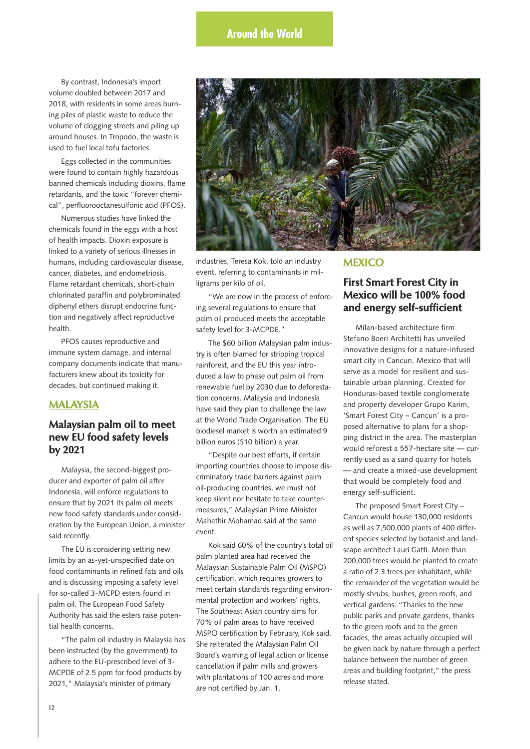By contrast, Indonesia's import volume doubled between 2017 and 2018, with residents in some areas burning piles of plastic waste to reduce the volume of clogging streets and piling up around houses. In Tropodo, the waste is used to fuel local tofu factories.

Eggs collected in the communities were found to contain highly hazardous banned chemicals including dioxins, flame retardants, and the toxic "forever chemical", perfluorooctanesulfonic acid (PFOS).

Numerous studies have linked the chemicals found in the eggs with a host of health impacts. Dioxin exposure is linked to a variety of serious illnesses in humans, including cardiovascular disease, cancer, diabetes, and endometriosis. Flame retardant chemicals, short-chain chlorinated paraffin and polybrominated diphenyl ethers disrupt endocrine function and negatively affect reproductive health.

PFOS causes reproductive and immune system damage, and internal company documents indicate that manufacturers knew about its toxicity for decades, but continued making it.

# **MALAYSIA**

# **Malaysian palm oil to meet new EU food safety levels by 2021**

Malaysia, the second-biggest producer and exporter of palm oil after Indonesia, will enforce regulations to ensure that by 2021 its palm oil meets new food safety standards under consideration by the European Union, a minister said recently.

The EU is considering setting new limits by an as-yet-unspecified date on food contaminants in refined fats and oils and is discussing imposing a safety level for so-called 3-MCPD esters found in palm oil. The European Food Safety Authority has said the esters raise potential health concerns.

"The palm oil industry in Malaysia has been instructed (by the government) to adhere to the EU-prescribed level of 3- MCPDE of 2.5 ppm for food products by 2021," Malaysia's minister of primary



industries, Teresa Kok, told an industry event, referring to contaminants in milligrams per kilo of oil.

"We are now in the process of enforcing several regulations to ensure that palm oil produced meets the acceptable safety level for 3-MCPDE."

The \$60 billion Malaysian palm industry is often blamed for stripping tropical rainforest, and the EU this year introduced a law to phase out palm oil from renewable fuel by 2030 due to deforestation concerns. Malaysia and Indonesia have said they plan to challenge the law at the World Trade Organisation. The EU biodiesel market is worth an estimated 9 billion euros (\$10 billion) a year.

"Despite our best efforts, if certain importing countries choose to impose discriminatory trade barriers against palm oil-producing countries, we must not keep silent nor hesitate to take countermeasures," Malaysian Prime Minister Mahathir Mohamad said at the same event.

Kok said 60% of the country's total oil palm planted area had received the Malaysian Sustainable Palm Oil (MSPO) certification, which requires growers to meet certain standards regarding environmental protection and workers' rights. The Southeast Asian country aims for 70% oil palm areas to have received MSPO certification by February, Kok said. She reiterated the Malaysian Palm Oil Board's warning of legal action or license cancellation if palm mills and growers with plantations of 100 acres and more are not certified by Jan. 1.

# **MEXICO**

# **First Smart Forest City in Mexico will be 100% food and energy self-sufficient**

Milan-based architecture firm Stefano Boeri Architetti has unveiled innovative designs for a nature-infused smart city in Cancun, Mexico that will serve as a model for resilient and sustainable urban planning. Created for Honduras-based textile conglomerate and property developer Grupo Karim, 'Smart Forest City – Cancun' is a proposed alternative to plans for a shopping district in the area. The masterplan would reforest a 557-hectare site — currently used as a sand quarry for hotels — and create a mixed-use development that would be completely food and energy self-sufficient.

The proposed Smart Forest City – Cancun would house 130,000 residents as well as 7,500,000 plants of 400 different species selected by botanist and landscape architect Lauri Gatti. More than 200,000 trees would be planted to create a ratio of 2.3 trees per inhabitant, while the remainder of the vegetation would be mostly shrubs, bushes, green roofs, and vertical gardens. "Thanks to the new public parks and private gardens, thanks to the green roofs and to the green facades, the areas actually occupied will be given back by nature through a perfect balance between the number of green areas and building footprint," the press release stated.